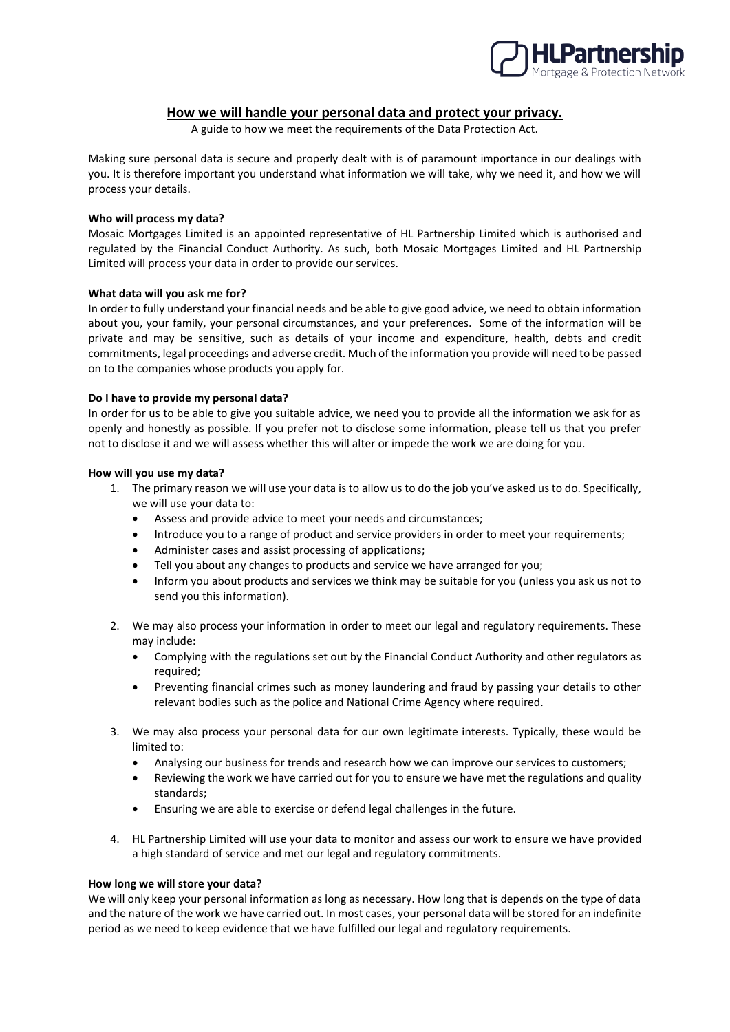

# **How we will handle your personal data and protect your privacy.**

A guide to how we meet the requirements of the Data Protection Act.

Making sure personal data is secure and properly dealt with is of paramount importance in our dealings with you. It is therefore important you understand what information we will take, why we need it, and how we will process your details.

## **Who will process my data?**

Mosaic Mortgages Limited is an appointed representative of HL Partnership Limited which is authorised and regulated by the Financial Conduct Authority. As such, both Mosaic Mortgages Limited and HL Partnership Limited will process your data in order to provide our services.

## **What data will you ask me for?**

In order to fully understand your financial needs and be able to give good advice, we need to obtain information about you, your family, your personal circumstances, and your preferences. Some of the information will be private and may be sensitive, such as details of your income and expenditure, health, debts and credit commitments, legal proceedings and adverse credit. Much of the information you provide will need to be passed on to the companies whose products you apply for.

## **Do I have to provide my personal data?**

In order for us to be able to give you suitable advice, we need you to provide all the information we ask for as openly and honestly as possible. If you prefer not to disclose some information, please tell us that you prefer not to disclose it and we will assess whether this will alter or impede the work we are doing for you.

## **How will you use my data?**

- 1. The primary reason we will use your data is to allow us to do the job you've asked us to do. Specifically, we will use your data to:
	- Assess and provide advice to meet your needs and circumstances;
	- Introduce you to a range of product and service providers in order to meet your requirements;
	- Administer cases and assist processing of applications;
	- Tell you about any changes to products and service we have arranged for you;
	- Inform you about products and services we think may be suitable for you (unless you ask us not to send you this information).
- 2. We may also process your information in order to meet our legal and regulatory requirements. These may include:
	- Complying with the regulations set out by the Financial Conduct Authority and other regulators as required;
	- Preventing financial crimes such as money laundering and fraud by passing your details to other relevant bodies such as the police and National Crime Agency where required.
- 3. We may also process your personal data for our own legitimate interests. Typically, these would be limited to:
	- Analysing our business for trends and research how we can improve our services to customers;
	- Reviewing the work we have carried out for you to ensure we have met the regulations and quality standards;
	- Ensuring we are able to exercise or defend legal challenges in the future.
- 4. HL Partnership Limited will use your data to monitor and assess our work to ensure we have provided a high standard of service and met our legal and regulatory commitments.

#### **How long we will store your data?**

We will only keep your personal information as long as necessary. How long that is depends on the type of data and the nature of the work we have carried out. In most cases, your personal data will be stored for an indefinite period as we need to keep evidence that we have fulfilled our legal and regulatory requirements.